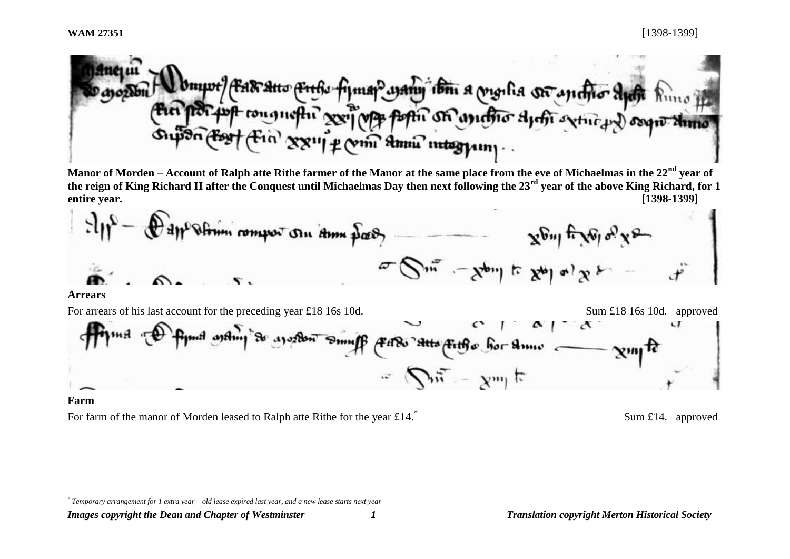

**Manor of Morden – Account of Ralph atte Rithe farmer of the Manor at the same place from the eve of Michaelmas in the 22nd year of the reign of King Richard II after the Conquest until Michaelmas Day then next following the 23rd year of the above King Richard, for 1 entire year. [1398-1399]**





#### **Farm**

 $\overline{a}$ 

For farm of the manor of Morden leased to Ralph atte Rithe for the year  $\text{\textsterling}14$ .<sup>\*</sup>

Sum £14. approved

*Images copyright the Dean and Chapter of Westminster 1 Translation copyright Merton Historical Society*

*<sup>\*</sup> Temporary arrangement for 1 extra year – old lease expired last year, and a new lease starts next year*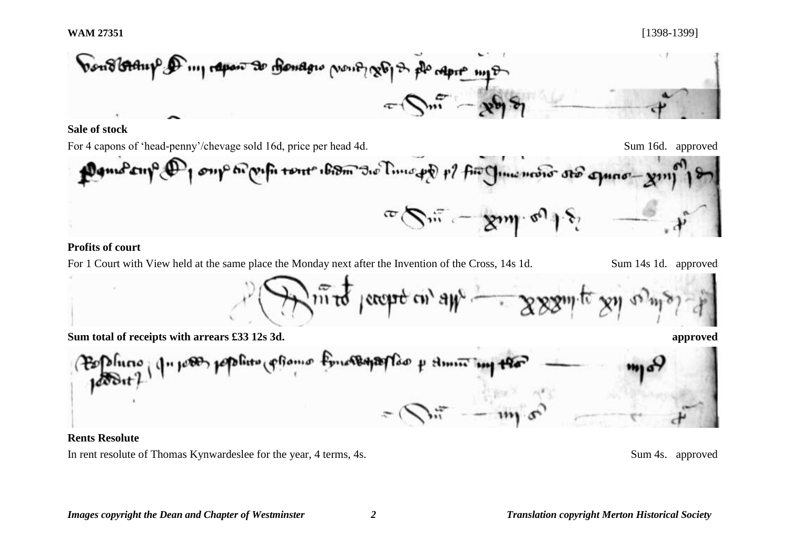

### **Sale of stock**

For 4 capons of 'head-penny'/chevage sold 16d, price per head 4d. Sum 16d. approved

oup to pufi tout ibidm to Time pp p? fin China mono sto amore pont  $\sum_{i=1}^n \alpha_i = \sum_{i=1}^n$ 

# **Profits of court**

For 1 Court with View held at the same place the Monday next after the Invention of the Cross, 14s 1d. Sum 14s 1d. approved

 $m\bar{t}$  /except on  $a\mu$   $\rightarrow$   $xxx$ 

**Sum total of receipts with arrears £33 12s 3d. approved**

Fourtement of Home in صيبمهام يعاشا

#### **Rents Resolute**

In rent resolute of Thomas Kynwardeslee for the year, 4 terms, 4s. Sum 4s. approved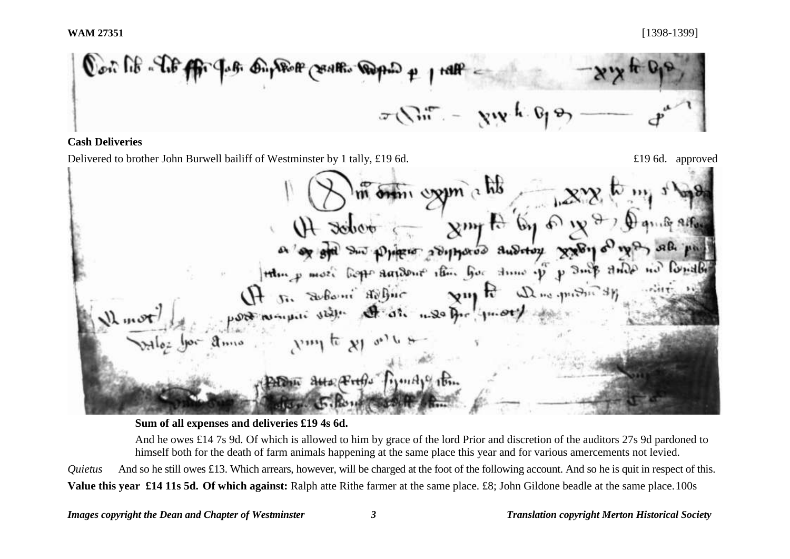$Q^{\circ\circ}$  of  $\mathbb{C}$  and  $Q^{\circ}$ Compose of the Soft of the Tape  $\sigma(\nabla_{\mathbf{u}}\mathbf{f})$ 

# **Cash Deliveries**

Delivered to brother John Burwell bailiff of Westminster by 1 tally, £19 6d.  $\blacksquare$   $\blacksquare$   $\blacksquare$   $\blacksquare$   $\blacksquare$   $\blacksquare$   $\blacksquare$   $\blacksquare$   $\blacksquare$   $\blacksquare$   $\blacksquare$   $\blacksquare$   $\blacksquare$   $\blacksquare$   $\blacksquare$   $\blacksquare$   $\blacksquare$   $\blacksquare$   $\blacksquare$   $\blacksquare$   $\blacksquare$ र भाष P<sup>1</sup> ¢ Auditor XXVI Price 2011 Actions that her dine of Holm p more bopp  $9.90$  $1411H$ 

**Sum of all expenses and deliveries £19 4s 6d.** 

And he owes £14 7s 9d. Of which is allowed to him by grace of the lord Prior and discretion of the auditors 27s 9d pardoned to himself both for the death of farm animals happening at the same place this year and for various amercements not levied. *Quietus* And so he still owes £13. Which arrears, however, will be charged at the foot of the following account. And so he is quit in respect of this. **Value this year £14 11s 5d. Of which against:** Ralph atte Rithe farmer at the same place. £8; John Gildone beadle at the same place.100s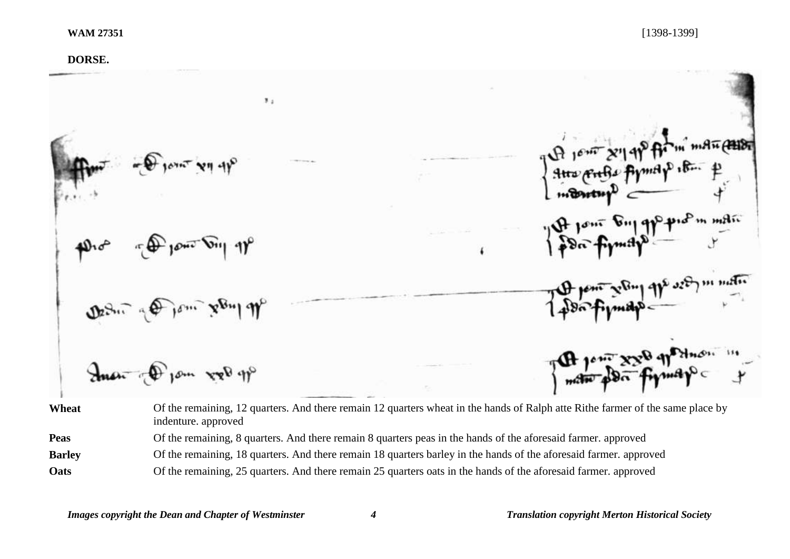# **DORSE.**   $\mathbf{3}$  . p pro<sup>p</sup>m marc 1<sup>06</sup> Pone Bul of  $\frac{96 \text{ m} \times 10^{10}}{1000 \text{ m}}$ Anon Of low rol m **Wheat** Of the remaining, 12 quarters. And there remain 12 quarters wheat in the hands of Ralph atte Rithe farmer of the same place by indenture. approved

**Peas** Of the remaining, 8 quarters. And there remain 8 quarters peas in the hands of the aforesaid farmer. approved

**Barley** Of the remaining, 18 quarters. And there remain 18 quarters barley in the hands of the aforesaid farmer. approved

**Oats** Of the remaining, 25 quarters. And there remain 25 quarters oats in the hands of the aforesaid farmer. approved

*Images copyright the Dean and Chapter of Westminster 4 Translation copyright Merton Historical Society*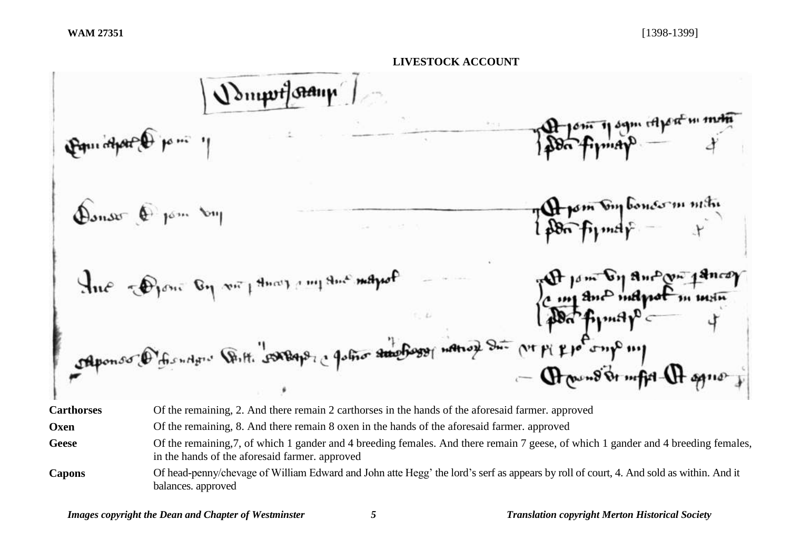

| <b>Carthorses</b> | Of the remaining, 2. And there remain 2 carthorses in the hands of the aforesaid farmer. approved                                                                                    |
|-------------------|--------------------------------------------------------------------------------------------------------------------------------------------------------------------------------------|
| Oxen              | Of the remaining, 8. And there remain 8 oxen in the hands of the aforesaid farmer, approved                                                                                          |
| <b>Geese</b>      | Of the remaining, 7, of which 1 gander and 4 breeding females. And there remain 7 geese, of which 1 gander and 4 breeding females,<br>in the hands of the aforesaid farmer. approved |
| <b>Capons</b>     | Of head-penny/chevage of William Edward and John atte Hegg' the lord's serf as appears by roll of court, 4. And sold as within. And it<br>balances. approved                         |

*Images copyright the Dean and Chapter of Westminster 5 Translation copyright Merton Historical Society*